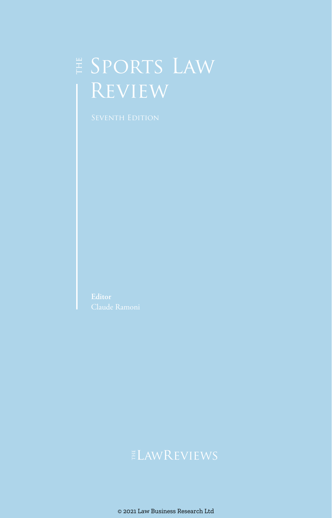# E SPORTS LAW Review

# $E$ LawREVIEWS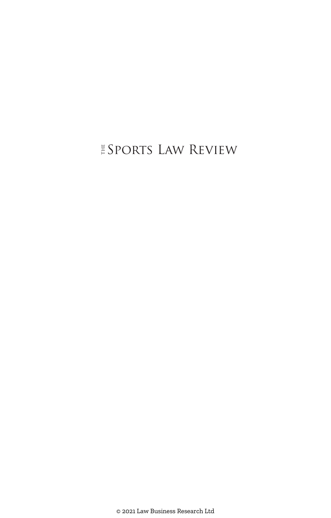### $\stackrel{\scriptscriptstyle \mathrm{F}}{\vphantom{\sim}}$  Sports Law Review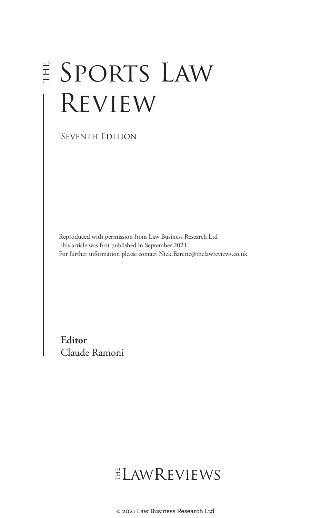# E SPORTS LAW Review

Seventh Edition

Reproduced with permission from Law Business Research Ltd This article was first published in September 2021 For further information please contact Nick.Barette@thelawreviews.co.uk

**Editor** Claude Ramoni

# ELAWREVIEWS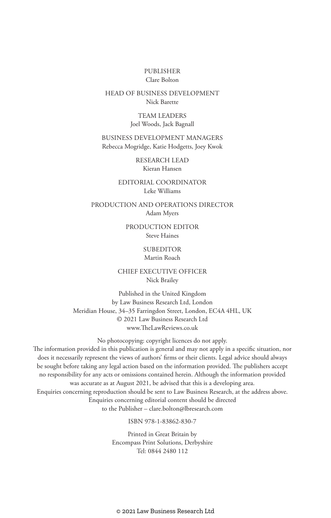#### PUBLISHER Clare Bolton

#### HEAD OF BUSINESS DEVELOPMENT Nick Barette

TEAM LEADERS Joel Woods, Jack Bagnall

BUSINESS DEVELOPMENT MANAGERS Rebecca Mogridge, Katie Hodgetts, Joey Kwok

> RESEARCH LEAD Kieran Hansen

EDITORIAL COORDINATOR Leke Williams

PRODUCTION AND OPERATIONS DIRECTOR Adam Myers

> PRODUCTION EDITOR Steve Haines

#### **SUBEDITOR** Martin Roach

CHIEF EXECUTIVE OFFICER

Nick Brailey

Published in the United Kingdom by Law Business Research Ltd, London Meridian House, 34–35 Farringdon Street, London, EC4A 4HL, UK © 2021 Law Business Research Ltd www.TheLawReviews.co.uk

No photocopying: copyright licences do not apply. The information provided in this publication is general and may not apply in a specific situation, nor does it necessarily represent the views of authors' firms or their clients. Legal advice should always be sought before taking any legal action based on the information provided. The publishers accept no responsibility for any acts or omissions contained herein. Although the information provided was accurate as at August 2021, be advised that this is a developing area. Enquiries concerning reproduction should be sent to Law Business Research, at the address above. Enquiries concerning editorial content should be directed to the Publisher – clare.bolton@lbresearch.com

ISBN 978-1-83862-830-7

Printed in Great Britain by Encompass Print Solutions, Derbyshire Tel: 0844 2480 112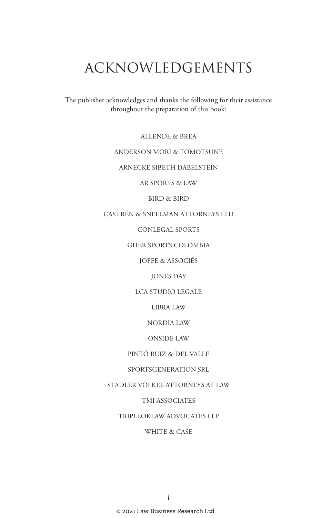# ACKNOWLEDGEMENTS

The publisher acknowledges and thanks the following for their assistance throughout the preparation of this book:

ALLENDE & BREA

#### ANDERSON MORI & TOMOTSUNE

ARNECKE SIBETH DABELSTEIN

AR SPORTS & LAW

BIRD & BIRD

CASTRÉN & SNELLMAN ATTORNEYS LTD

CONLEGAL SPORTS

GHER SPORTS COLOMBIA

JOFFE & ASSOCIÉS

JONES DAY

LCA STUDIO LEGALE

LIBRA LAW

NORDIA LAW

ONSIDE LAW

PINTÓ RUIZ & DEL VALLE

SPORTSGENERATION SRL

STADLER VÖLKEL ATTORNEYS AT LAW

TMI ASSOCIATES

TRIPLEOKLAW ADVOCATES LLP

WHITE & CASE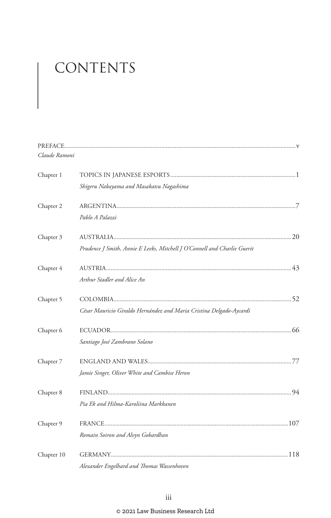# CONTENTS

| Claude Ramoni |                                                                          |  |
|---------------|--------------------------------------------------------------------------|--|
| Chapter 1     |                                                                          |  |
|               | Shigeru Nakayama and Masakatsu Nagashima                                 |  |
| Chapter 2     |                                                                          |  |
|               | Pablo A Palazzi                                                          |  |
| Chapter 3     |                                                                          |  |
|               | Prudence J Smith, Annie E Leeks, Mitchell J O'Connell and Charlie Guerit |  |
| Chapter 4     |                                                                          |  |
|               | Arthur Stadler and Alice An                                              |  |
| Chapter 5     |                                                                          |  |
|               | César Mauricio Giraldo Hernández and Maria Cristina Delgado-Aycardi      |  |
| Chapter 6     |                                                                          |  |
|               | Santiago José Zambrano Solano                                            |  |
| Chapter 7     |                                                                          |  |
|               | Jamie Singer, Oliver White and Cambise Heron                             |  |
| Chapter 8     |                                                                          |  |
|               | Pia Ek and Hilma-Karoliina Markkanen                                     |  |
| Chapter 9     |                                                                          |  |
|               | Romain Soiron and Alvyn Gobardhan                                        |  |
| Chapter 10    |                                                                          |  |
|               | Alexander Engelhard and Thomas Wassenhoven                               |  |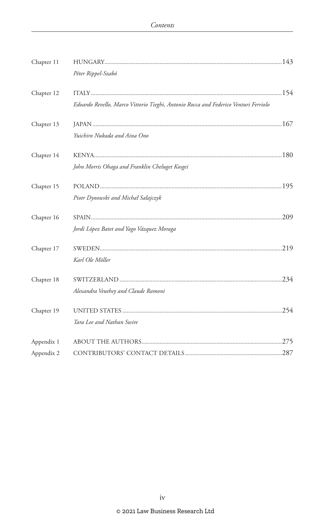| Chapter 11 |                                                                                     |  |
|------------|-------------------------------------------------------------------------------------|--|
|            | Péter Rippel-Szabó                                                                  |  |
| Chapter 12 |                                                                                     |  |
|            | Edoardo Revello, Marco Vittorio Tieghi, Antonio Rocca and Federico Venturi Ferriolo |  |
| Chapter 13 |                                                                                     |  |
|            | Yuichiro Nukada and Aina Ono                                                        |  |
| Chapter 14 |                                                                                     |  |
|            | John Morris Ohaga and Franklin Cheluget Kosgei                                      |  |
| Chapter 15 |                                                                                     |  |
|            | Piotr Dynowski and Michał Sałajczyk                                                 |  |
| Chapter 16 |                                                                                     |  |
|            | Jordi López Batet and Yago Vázquez Moraga                                           |  |
| Chapter 17 |                                                                                     |  |
|            | Karl Ole Möller                                                                     |  |
| Chapter 18 |                                                                                     |  |
|            | Alexandra Veuthey and Claude Ramoni                                                 |  |
| Chapter 19 |                                                                                     |  |
|            | Tara Lee and Nathan Swire                                                           |  |
| Appendix 1 |                                                                                     |  |
| Appendix 2 |                                                                                     |  |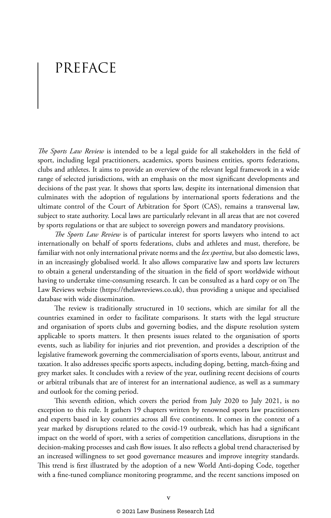# PREFACE

*The Sports Law Review* is intended to be a legal guide for all stakeholders in the field of sport, including legal practitioners, academics, sports business entities, sports federations, clubs and athletes. It aims to provide an overview of the relevant legal framework in a wide range of selected jurisdictions, with an emphasis on the most significant developments and decisions of the past year. It shows that sports law, despite its international dimension that culminates with the adoption of regulations by international sports federations and the ultimate control of the Court of Arbitration for Sport (CAS), remains a transversal law, subject to state authority. Local laws are particularly relevant in all areas that are not covered by sports regulations or that are subject to sovereign powers and mandatory provisions.

*The Sports Law Review* is of particular interest for sports lawyers who intend to act internationally on behalf of sports federations, clubs and athletes and must, therefore, be familiar with not only international private norms and the *lex sportiva*, but also domestic laws, in an increasingly globalised world. It also allows comparative law and sports law lecturers to obtain a general understanding of the situation in the field of sport worldwide without having to undertake time-consuming research. It can be consulted as a hard copy or on The Law Reviews website (https://thelawreviews.co.uk), thus providing a unique and specialised database with wide dissemination.

The review is traditionally structured in 10 sections, which are similar for all the countries examined in order to facilitate comparisons. It starts with the legal structure and organisation of sports clubs and governing bodies, and the dispute resolution system applicable to sports matters. It then presents issues related to the organisation of sports events, such as liability for injuries and riot prevention, and provides a description of the legislative framework governing the commercialisation of sports events, labour, antitrust and taxation. It also addresses specific sports aspects, including doping, betting, match-fixing and grey market sales. It concludes with a review of the year, outlining recent decisions of courts or arbitral tribunals that are of interest for an international audience, as well as a summary and outlook for the coming period.

This seventh edition, which covers the period from July 2020 to July 2021, is no exception to this rule. It gathers 19 chapters written by renowned sports law practitioners and experts based in key countries across all five continents. It comes in the context of a year marked by disruptions related to the covid-19 outbreak, which has had a significant impact on the world of sport, with a series of competition cancellations, disruptions in the decision-making processes and cash flow issues. It also reflects a global trend characterised by an increased willingness to set good governance measures and improve integrity standards. This trend is first illustrated by the adoption of a new World Anti-doping Code, together with a fine-tuned compliance monitoring programme, and the recent sanctions imposed on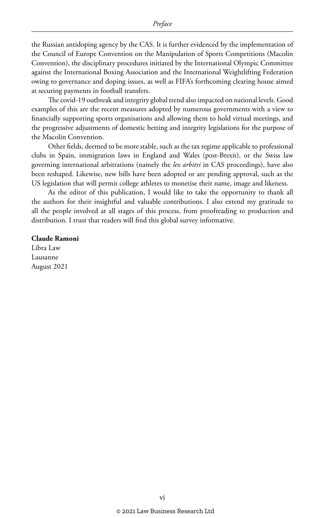the Russian antidoping agency by the CAS. It is further evidenced by the implementation of the Council of Europe Convention on the Manipulation of Sports Competitions (Macolin Convention), the disciplinary procedures initiated by the International Olympic Committee against the International Boxing Association and the International Weightlifting Federation owing to governance and doping issues, as well as FIFA's forthcoming clearing house aimed at securing payments in football transfers.

The covid-19 outbreak and integrity global trend also impacted on national levels. Good examples of this are the recent measures adopted by numerous governments with a view to financially supporting sports organisations and allowing them to hold virtual meetings, and the progressive adjustments of domestic betting and integrity legislations for the purpose of the Macolin Convention.

Other fields, deemed to be more stable, such as the tax regime applicable to professional clubs in Spain, immigration laws in England and Wales (post-Brexit), or the Swiss law governing international arbitrations (namely the *lex arbitri* in CAS proceedings), have also been reshaped. Likewise, new bills have been adopted or are pending approval, such as the US legislation that will permit college athletes to monetise their name, image and likeness.

As the editor of this publication, I would like to take the opportunity to thank all the authors for their insightful and valuable contributions. I also extend my gratitude to all the people involved at all stages of this process, from proofreading to production and distribution. I trust that readers will find this global survey informative.

#### **Claude Ramoni**

Libra Law Lausanne August 2021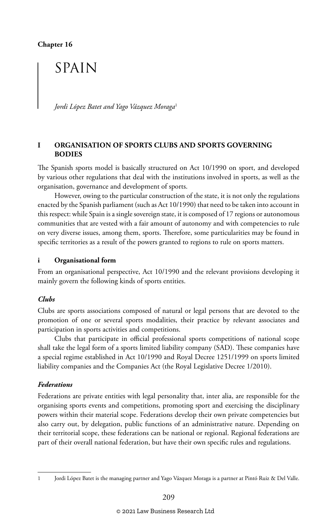## SPAIN

*Jordi López Batet and Yago Vázquez Moraga*<sup>1</sup>

#### **I ORGANISATION OF SPORTS CLUBS AND SPORTS GOVERNING BODIES**

The Spanish sports model is basically structured on Act 10/1990 on sport, and developed by various other regulations that deal with the institutions involved in sports, as well as the organisation, governance and development of sports.

However, owing to the particular construction of the state, it is not only the regulations enacted by the Spanish parliament (such as Act 10/1990) that need to be taken into account in this respect: while Spain is a single sovereign state, it is composed of 17 regions or autonomous communities that are vested with a fair amount of autonomy and with competencies to rule on very diverse issues, among them, sports. Therefore, some particularities may be found in specific territories as a result of the powers granted to regions to rule on sports matters.

#### **i Organisational form**

From an organisational perspective, Act 10/1990 and the relevant provisions developing it mainly govern the following kinds of sports entities.

#### *Clubs*

Clubs are sports associations composed of natural or legal persons that are devoted to the promotion of one or several sports modalities, their practice by relevant associates and participation in sports activities and competitions.

Clubs that participate in official professional sports competitions of national scope shall take the legal form of a sports limited liability company (SAD). These companies have a special regime established in Act 10/1990 and Royal Decree 1251/1999 on sports limited liability companies and the Companies Act (the Royal Legislative Decree 1/2010).

#### *Federations*

Federations are private entities with legal personality that, inter alia, are responsible for the organising sports events and competitions, promoting sport and exercising the disciplinary powers within their material scope. Federations develop their own private competencies but also carry out, by delegation, public functions of an administrative nature. Depending on their territorial scope, these federations can be national or regional. Regional federations are part of their overall national federation, but have their own specific rules and regulations.

<sup>1</sup> Jordi López Batet is the managing partner and Yago Vázquez Moraga is a partner at Pintó Ruiz & Del Valle.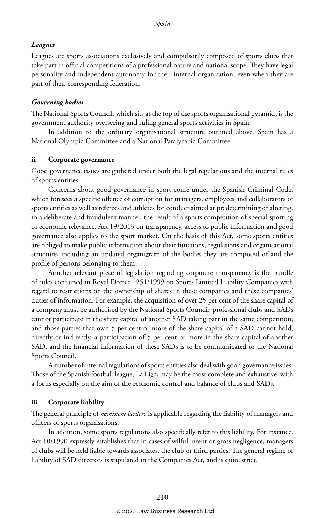#### *Leagues*

Leagues are sports associations exclusively and compulsorily composed of sports clubs that take part in official competitions of a professional nature and national scope. They have legal personality and independent autonomy for their internal organisation, even when they are part of their corresponding federation.

#### *Governing bodies*

The National Sports Council, which sits at the top of the sports organisational pyramid, is the government authority overseeing and ruling general sports activities in Spain.

In addition to the ordinary organisational structure outlined above, Spain has a National Olympic Committee and a National Paralympic Committee.

#### **ii Corporate governance**

Good governance issues are gathered under both the legal regulations and the internal rules of sports entities.

Concerns about good governance in sport come under the Spanish Criminal Code, which foresees a specific offence of corruption for managers, employees and collaborators of sports entities as well as referees and athletes for conduct aimed at predetermining or altering, in a deliberate and fraudulent manner, the result of a sports competition of special sporting or economic relevance. Act 19/2013 on transparency, access to public information and good governance also applies to the sport market. On the basis of this Act, some sports entities are obliged to make public information about their functions, regulations and organisational structure, including an updated organigram of the bodies they are composed of and the profile of persons belonging to them.

Another relevant piece of legislation regarding corporate transparency is the bundle of rules contained in Royal Decree 1251/1999 on Sports Limited Liability Companies with regard to restrictions on the ownership of shares in these companies and these companies' duties of information. For example, the acquisition of over 25 per cent of the share capital of a company must be authorised by the National Sports Council; professional clubs and SADs cannot participate in the share capital of another SAD taking part in the same competition; and those parties that own 5 per cent or more of the share capital of a SAD cannot hold, directly or indirectly, a participation of 5 per cent or more in the share capital of another SAD, and the financial information of these SADs is to be communicated to the National Sports Council.

A number of internal regulations of sports entities also deal with good governance issues. Those of the Spanish football league, La Liga, may be the most complete and exhaustive, with a focus especially on the aim of the economic control and balance of clubs and SADs.

#### **iii Corporate liability**

The general principle of *neminem laedere* is applicable regarding the liability of managers and officers of sports organisations.

In addition, some sports regulations also specifically refer to this liability. For instance, Act 10/1990 expressly establishes that in cases of wilful intent or gross negligence, managers of clubs will be held liable towards associates, the club or third parties. The general regime of liability of SAD directors is stipulated in the Companies Act, and is quite strict.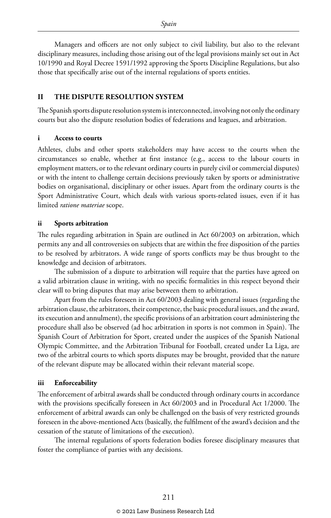Managers and officers are not only subject to civil liability, but also to the relevant disciplinary measures, including those arising out of the legal provisions mainly set out in Act 10/1990 and Royal Decree 1591/1992 approving the Sports Discipline Regulations, but also those that specifically arise out of the internal regulations of sports entities.

#### **II THE DISPUTE RESOLUTION SYSTEM**

The Spanish sports dispute resolution system is interconnected, involving not only the ordinary courts but also the dispute resolution bodies of federations and leagues, and arbitration.

#### **i Access to courts**

Athletes, clubs and other sports stakeholders may have access to the courts when the circumstances so enable, whether at first instance (e.g., access to the labour courts in employment matters, or to the relevant ordinary courts in purely civil or commercial disputes) or with the intent to challenge certain decisions previously taken by sports or administrative bodies on organisational, disciplinary or other issues. Apart from the ordinary courts is the Sport Administrative Court, which deals with various sports-related issues, even if it has limited *ratione materiae* scope.

#### **ii Sports arbitration**

The rules regarding arbitration in Spain are outlined in Act 60/2003 on arbitration, which permits any and all controversies on subjects that are within the free disposition of the parties to be resolved by arbitrators. A wide range of sports conflicts may be thus brought to the knowledge and decision of arbitrators.

The submission of a dispute to arbitration will require that the parties have agreed on a valid arbitration clause in writing, with no specific formalities in this respect beyond their clear will to bring disputes that may arise between them to arbitration.

Apart from the rules foreseen in Act 60/2003 dealing with general issues (regarding the arbitration clause, the arbitrators, their competence, the basic procedural issues, and the award, its execution and annulment), the specific provisions of an arbitration court administering the procedure shall also be observed (ad hoc arbitration in sports is not common in Spain). The Spanish Court of Arbitration for Sport, created under the auspices of the Spanish National Olympic Committee, and the Arbitration Tribunal for Football, created under La Liga, are two of the arbitral courts to which sports disputes may be brought, provided that the nature of the relevant dispute may be allocated within their relevant material scope.

#### **iii Enforceability**

The enforcement of arbitral awards shall be conducted through ordinary courts in accordance with the provisions specifically foreseen in Act 60/2003 and in Procedural Act 1/2000. The enforcement of arbitral awards can only be challenged on the basis of very restricted grounds foreseen in the above-mentioned Acts (basically, the fulfilment of the award's decision and the cessation of the statute of limitations of the execution).

The internal regulations of sports federation bodies foresee disciplinary measures that foster the compliance of parties with any decisions.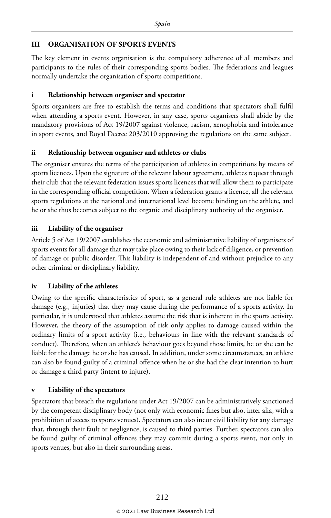#### **III ORGANISATION OF SPORTS EVENTS**

The key element in events organisation is the compulsory adherence of all members and participants to the rules of their corresponding sports bodies. The federations and leagues normally undertake the organisation of sports competitions.

#### **i Relationship between organiser and spectator**

Sports organisers are free to establish the terms and conditions that spectators shall fulfil when attending a sports event. However, in any case, sports organisers shall abide by the mandatory provisions of Act 19/2007 against violence, racism, xenophobia and intolerance in sport events, and Royal Decree 203/2010 approving the regulations on the same subject.

#### **ii Relationship between organiser and athletes or clubs**

The organiser ensures the terms of the participation of athletes in competitions by means of sports licences. Upon the signature of the relevant labour agreement, athletes request through their club that the relevant federation issues sports licences that will allow them to participate in the corresponding official competition. When a federation grants a licence, all the relevant sports regulations at the national and international level become binding on the athlete, and he or she thus becomes subject to the organic and disciplinary authority of the organiser.

#### **iii Liability of the organiser**

Article 5 of Act 19/2007 establishes the economic and administrative liability of organisers of sports events for all damage that may take place owing to their lack of diligence, or prevention of damage or public disorder. This liability is independent of and without prejudice to any other criminal or disciplinary liability.

#### **iv Liability of the athletes**

Owing to the specific characteristics of sport, as a general rule athletes are not liable for damage (e.g., injuries) that they may cause during the performance of a sports activity. In particular, it is understood that athletes assume the risk that is inherent in the sports activity. However, the theory of the assumption of risk only applies to damage caused within the ordinary limits of a sport activity (i.e., behaviours in line with the relevant standards of conduct). Therefore, when an athlete's behaviour goes beyond those limits, he or she can be liable for the damage he or she has caused. In addition, under some circumstances, an athlete can also be found guilty of a criminal offence when he or she had the clear intention to hurt or damage a third party (intent to injure).

#### **v Liability of the spectators**

Spectators that breach the regulations under Act 19/2007 can be administratively sanctioned by the competent disciplinary body (not only with economic fines but also, inter alia, with a prohibition of access to sports venues). Spectators can also incur civil liability for any damage that, through their fault or negligence, is caused to third parties. Further, spectators can also be found guilty of criminal offences they may commit during a sports event, not only in sports venues, but also in their surrounding areas.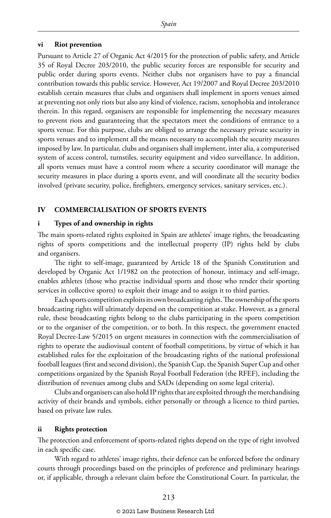#### **vi Riot prevention**

Pursuant to Article 27 of Organic Act 4/2015 for the protection of public safety, and Article 35 of Royal Decree 203/2010, the public security forces are responsible for security and public order during sports events. Neither clubs nor organisers have to pay a financial contribution towards this public service. However, Act 19/2007 and Royal Decree 203/2010 establish certain measures that clubs and organisers shall implement in sports venues aimed at preventing not only riots but also any kind of violence, racism, xenophobia and intolerance therein. In this regard, organisers are responsible for implementing the necessary measures to prevent riots and guaranteeing that the spectators meet the conditions of entrance to a sports venue. For this purpose, clubs are obliged to arrange the necessary private security in sports venues and to implement all the means necessary to accomplish the security measures imposed by law. In particular, clubs and organisers shall implement, inter alia, a computerised system of access control, turnstiles, security equipment and video surveillance. In addition, all sports venues must have a control room where a security coordinator will manage the security measures in place during a sports event, and will coordinate all the security bodies involved (private security, police, firefighters, emergency services, sanitary services, etc.).

#### **IV COMMERCIALISATION OF SPORTS EVENTS**

#### **i Types of and ownership in rights**

The main sports-related rights exploited in Spain are athletes' image rights, the broadcasting rights of sports competitions and the intellectual property (IP) rights held by clubs and organisers.

The right to self-image, guaranteed by Article 18 of the Spanish Constitution and developed by Organic Act 1/1982 on the protection of honour, intimacy and self-image, enables athletes (those who practise individual sports and those who render their sporting services in collective sports) to exploit their image and to assign it to third parties.

Each sports competition exploits its own broadcasting rights. The ownership of the sports broadcasting rights will ultimately depend on the competition at stake. However, as a general rule, these broadcasting rights belong to the clubs participating in the sports competition or to the organiser of the competition, or to both. In this respect, the government enacted Royal Decree-Law 5/2015 on urgent measures in connection with the commercialisation of rights to operate the audiovisual content of football competitions, by virtue of which it has established rules for the exploitation of the broadcasting rights of the national professional football leagues (first and second division), the Spanish Cup, the Spanish Super Cup and other competitions organized by the Spanish Royal Football Federation (the RFEF), including the distribution of revenues among clubs and SADs (depending on some legal criteria).

Clubs and organisers can also hold IP rights that are exploited through the merchandising activity of their brands and symbols, either personally or through a licence to third parties, based on private law rules.

#### **ii Rights protection**

The protection and enforcement of sports-related rights depend on the type of right involved in each specific case.

With regard to athletes' image rights, their defence can be enforced before the ordinary courts through proceedings based on the principles of preference and preliminary hearings or, if applicable, through a relevant claim before the Constitutional Court. In particular, the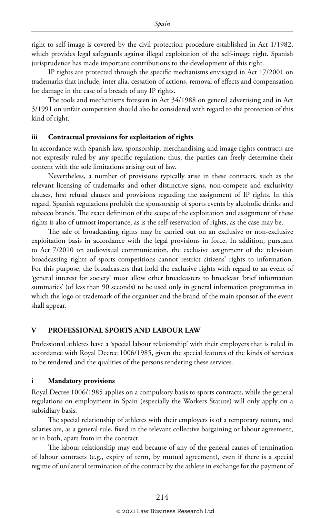right to self-image is covered by the civil protection procedure established in Act 1/1982, which provides legal safeguards against illegal exploitation of the self-image right. Spanish jurisprudence has made important contributions to the development of this right.

IP rights are protected through the specific mechanisms envisaged in Act 17/2001 on trademarks that include, inter alia, cessation of actions, removal of effects and compensation for damage in the case of a breach of any IP rights.

The tools and mechanisms foreseen in Act 34/1988 on general advertising and in Act 3/1991 on unfair competition should also be considered with regard to the protection of this kind of right.

#### **iii Contractual provisions for exploitation of rights**

In accordance with Spanish law, sponsorship, merchandising and image rights contracts are not expressly ruled by any specific regulation; thus, the parties can freely determine their content with the sole limitations arising out of law.

Nevertheless, a number of provisions typically arise in these contracts, such as the relevant licensing of trademarks and other distinctive signs, non-compete and exclusivity clauses, first refusal clauses and provisions regarding the assignment of IP rights. In this regard, Spanish regulations prohibit the sponsorship of sports events by alcoholic drinks and tobacco brands. The exact definition of the scope of the exploitation and assignment of these rights is also of utmost importance, as is the self-reservation of rights, as the case may be.

The sale of broadcasting rights may be carried out on an exclusive or non-exclusive exploitation basis in accordance with the legal provisions in force. In addition, pursuant to Act 7/2010 on audiovisual communication, the exclusive assignment of the television broadcasting rights of sports competitions cannot restrict citizens' rights to information. For this purpose, the broadcasters that hold the exclusive rights with regard to an event of 'general interest for society' must allow other broadcasters to broadcast 'brief information summaries' (of less than 90 seconds) to be used only in general information programmes in which the logo or trademark of the organiser and the brand of the main sponsor of the event shall appear.

#### **V PROFESSIONAL SPORTS AND LABOUR LAW**

Professional athletes have a 'special labour relationship' with their employers that is ruled in accordance with Royal Decree 1006/1985, given the special features of the kinds of services to be rendered and the qualities of the persons rendering these services.

#### **i Mandatory provisions**

Royal Decree 1006/1985 applies on a compulsory basis to sports contracts, while the general regulations on employment in Spain (especially the Workers Statute) will only apply on a subsidiary basis.

The special relationship of athletes with their employers is of a temporary nature, and salaries are, as a general rule, fixed in the relevant collective bargaining or labour agreement, or in both, apart from in the contract.

The labour relationship may end because of any of the general causes of termination of labour contracts (e.g., expiry of term, by mutual agreement), even if there is a special regime of unilateral termination of the contract by the athlete in exchange for the payment of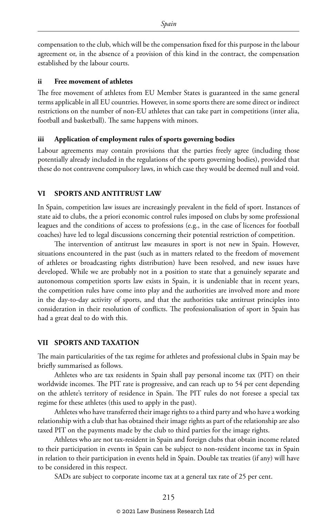compensation to the club, which will be the compensation fixed for this purpose in the labour agreement or, in the absence of a provision of this kind in the contract, the compensation established by the labour courts.

#### **ii Free movement of athletes**

The free movement of athletes from EU Member States is guaranteed in the same general terms applicable in all EU countries. However, in some sports there are some direct or indirect restrictions on the number of non-EU athletes that can take part in competitions (inter alia, football and basketball). The same happens with minors.

#### **iii Application of employment rules of sports governing bodies**

Labour agreements may contain provisions that the parties freely agree (including those potentially already included in the regulations of the sports governing bodies), provided that these do not contravene compulsory laws, in which case they would be deemed null and void.

#### **VI SPORTS AND ANTITRUST LAW**

In Spain, competition law issues are increasingly prevalent in the field of sport. Instances of state aid to clubs, the a priori economic control rules imposed on clubs by some professional leagues and the conditions of access to professions (e.g., in the case of licences for football coaches) have led to legal discussions concerning their potential restriction of competition.

The intervention of antitrust law measures in sport is not new in Spain. However, situations encountered in the past (such as in matters related to the freedom of movement of athletes or broadcasting rights distribution) have been resolved, and new issues have developed. While we are probably not in a position to state that a genuinely separate and autonomous competition sports law exists in Spain, it is undeniable that in recent years, the competition rules have come into play and the authorities are involved more and more in the day-to-day activity of sports, and that the authorities take antitrust principles into consideration in their resolution of conflicts. The professionalisation of sport in Spain has had a great deal to do with this.

#### **VII SPORTS AND TAXATION**

The main particularities of the tax regime for athletes and professional clubs in Spain may be briefly summarised as follows.

Athletes who are tax residents in Spain shall pay personal income tax (PIT) on their worldwide incomes. The PIT rate is progressive, and can reach up to 54 per cent depending on the athlete's territory of residence in Spain. The PIT rules do not foresee a special tax regime for these athletes (this used to apply in the past).

Athletes who have transferred their image rights to a third party and who have a working relationship with a club that has obtained their image rights as part of the relationship are also taxed PIT on the payments made by the club to third parties for the image rights.

Athletes who are not tax-resident in Spain and foreign clubs that obtain income related to their participation in events in Spain can be subject to non-resident income tax in Spain in relation to their participation in events held in Spain. Double tax treaties (if any) will have to be considered in this respect.

SADs are subject to corporate income tax at a general tax rate of 25 per cent.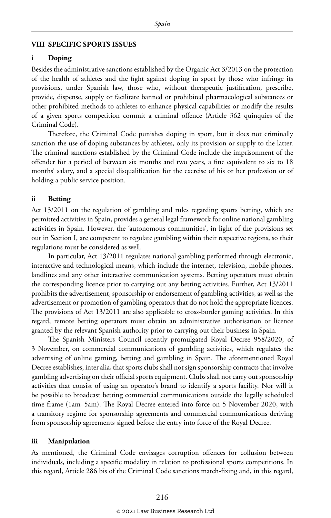#### **VIII SPECIFIC SPORTS ISSUES**

#### **i Doping**

Besides the administrative sanctions established by the Organic Act 3/2013 on the protection of the health of athletes and the fight against doping in sport by those who infringe its provisions, under Spanish law, those who, without therapeutic justification, prescribe, provide, dispense, supply or facilitate banned or prohibited pharmacological substances or other prohibited methods to athletes to enhance physical capabilities or modify the results of a given sports competition commit a criminal offence (Article 362 quinquies of the Criminal Code).

Therefore, the Criminal Code punishes doping in sport, but it does not criminally sanction the use of doping substances by athletes, only its provision or supply to the latter. The criminal sanctions established by the Criminal Code include the imprisonment of the offender for a period of between six months and two years, a fine equivalent to six to 18 months' salary, and a special disqualification for the exercise of his or her profession or of holding a public service position.

#### **ii Betting**

Act 13/2011 on the regulation of gambling and rules regarding sports betting, which are permitted activities in Spain, provides a general legal framework for online national gambling activities in Spain. However, the 'autonomous communities', in light of the provisions set out in Section I, are competent to regulate gambling within their respective regions, so their regulations must be considered as well.

In particular, Act 13/2011 regulates national gambling performed through electronic, interactive and technological means, which include the internet, television, mobile phones, landlines and any other interactive communication systems. Betting operators must obtain the corresponding licence prior to carrying out any betting activities. Further, Act 13/2011 prohibits the advertisement, sponsorship or endorsement of gambling activities, as well as the advertisement or promotion of gambling operators that do not hold the appropriate licences. The provisions of Act 13/2011 are also applicable to cross-border gaming activities. In this regard, remote betting operators must obtain an administrative authorisation or licence granted by the relevant Spanish authority prior to carrying out their business in Spain.

The Spanish Ministers Council recently promulgated Royal Decree 958/2020, of 3 November, on commercial communications of gambling activities, which regulates the advertising of online gaming, betting and gambling in Spain. The aforementioned Royal Decree establishes, inter alia, that sports clubs shall not sign sponsorship contracts that involve gambling advertising on their official sports equipment. Clubs shall not carry out sponsorship activities that consist of using an operator's brand to identify a sports facility. Nor will it be possible to broadcast betting commercial communications outside the legally scheduled time frame (1am–5am). The Royal Decree entered into force on 5 November 2020, with a transitory regime for sponsorship agreements and commercial communications deriving from sponsorship agreements signed before the entry into force of the Royal Decree.

#### **iii Manipulation**

As mentioned, the Criminal Code envisages corruption offences for collusion between individuals, including a specific modality in relation to professional sports competitions. In this regard, Article 286 bis of the Criminal Code sanctions match-fixing and, in this regard,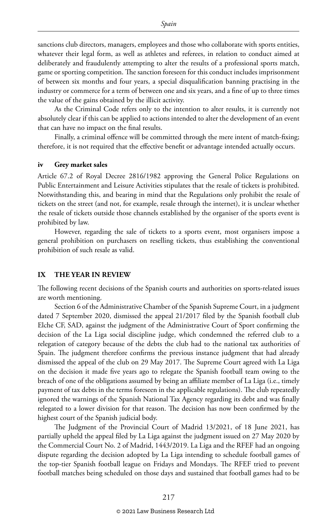sanctions club directors, managers, employees and those who collaborate with sports entities, whatever their legal form, as well as athletes and referees, in relation to conduct aimed at deliberately and fraudulently attempting to alter the results of a professional sports match, game or sporting competition. The sanction foreseen for this conduct includes imprisonment of between six months and four years, a special disqualification banning practising in the industry or commerce for a term of between one and six years, and a fine of up to three times the value of the gains obtained by the illicit activity.

As the Criminal Code refers only to the intention to alter results, it is currently not absolutely clear if this can be applied to actions intended to alter the development of an event that can have no impact on the final results.

Finally, a criminal offence will be committed through the mere intent of match-fixing; therefore, it is not required that the effective benefit or advantage intended actually occurs.

#### **iv Grey market sales**

Article 67.2 of Royal Decree 2816/1982 approving the General Police Regulations on Public Entertainment and Leisure Activities stipulates that the resale of tickets is prohibited. Notwithstanding this, and bearing in mind that the Regulations only prohibit the resale of tickets on the street (and not, for example, resale through the internet), it is unclear whether the resale of tickets outside those channels established by the organiser of the sports event is prohibited by law.

However, regarding the sale of tickets to a sports event, most organisers impose a general prohibition on purchasers on reselling tickets, thus establishing the conventional prohibition of such resale as valid.

#### **IX THE YEAR IN REVIEW**

The following recent decisions of the Spanish courts and authorities on sports-related issues are worth mentioning.

Section 6 of the Administrative Chamber of the Spanish Supreme Court, in a judgment dated 7 September 2020, dismissed the appeal 21/2017 filed by the Spanish football club Elche CF, SAD, against the judgment of the Administrative Court of Sport confirming the decision of the La Liga social discipline judge, which condemned the referred club to a relegation of category because of the debts the club had to the national tax authorities of Spain. The judgment therefore confirms the previous instance judgment that had already dismissed the appeal of the club on 29 May 2017. The Supreme Court agreed with La Liga on the decision it made five years ago to relegate the Spanish football team owing to the breach of one of the obligations assumed by being an affiliate member of La Liga (i.e., timely payment of tax debts in the terms foreseen in the applicable regulations). The club repeatedly ignored the warnings of the Spanish National Tax Agency regarding its debt and was finally relegated to a lower division for that reason. The decision has now been confirmed by the highest court of the Spanish judicial body.

The Judgment of the Provincial Court of Madrid 13/2021, of 18 June 2021, has partially upheld the appeal filed by La Liga against the judgment issued on 27 May 2020 by the Commercial Court No. 2 of Madrid, 1443/2019. La Liga and the RFEF had an ongoing dispute regarding the decision adopted by La Liga intending to schedule football games of the top-tier Spanish football league on Fridays and Mondays. The RFEF tried to prevent football matches being scheduled on those days and sustained that football games had to be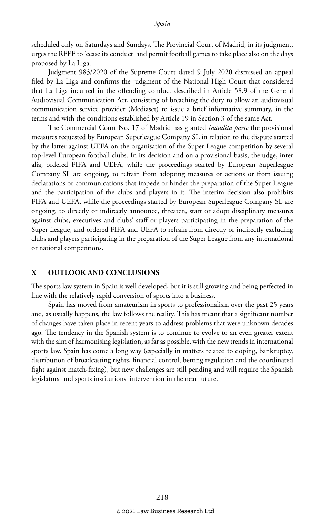scheduled only on Saturdays and Sundays. The Provincial Court of Madrid, in its judgment, urges the RFEF to 'cease its conduct' and permit football games to take place also on the days proposed by La Liga.

Judgment 983/2020 of the Supreme Court dated 9 July 2020 dismissed an appeal filed by La Liga and confirms the judgment of the National High Court that considered that La Liga incurred in the offending conduct described in Article 58.9 of the General Audiovisual Communication Act, consisting of breaching the duty to allow an audiovisual communication service provider (Mediaset) to issue a brief informative summary, in the terms and with the conditions established by Article 19 in Section 3 of the same Act.

The Commercial Court No. 17 of Madrid has granted *inaudita parte* the provisional measures requested by European Superleague Company SL in relation to the dispute started by the latter against UEFA on the organisation of the Super League competition by several top-level European football clubs. In its decision and on a provisional basis, thejudge, inter alia, ordered FIFA and UEFA, while the proceedings started by European Superleague Company SL are ongoing, to refrain from adopting measures or actions or from issuing declarations or communications that impede or hinder the preparation of the Super League and the participation of the clubs and players in it. The interim decision also prohibits FIFA and UEFA, while the proceedings started by European Superleague Company SL are ongoing, to directly or indirectly announce, threaten, start or adopt disciplinary measures against clubs, executives and clubs' staff or players participating in the preparation of the Super League, and ordered FIFA and UEFA to refrain from directly or indirectly excluding clubs and players participating in the preparation of the Super League from any international or national competitions.

#### **X OUTLOOK AND CONCLUSIONS**

The sports law system in Spain is well developed, but it is still growing and being perfected in line with the relatively rapid conversion of sports into a business.

Spain has moved from amateurism in sports to professionalism over the past 25 years and, as usually happens, the law follows the reality. This has meant that a significant number of changes have taken place in recent years to address problems that were unknown decades ago. The tendency in the Spanish system is to continue to evolve to an even greater extent with the aim of harmonising legislation, as far as possible, with the new trends in international sports law. Spain has come a long way (especially in matters related to doping, bankruptcy, distribution of broadcasting rights, financial control, betting regulation and the coordinated fight against match-fixing), but new challenges are still pending and will require the Spanish legislators' and sports institutions' intervention in the near future.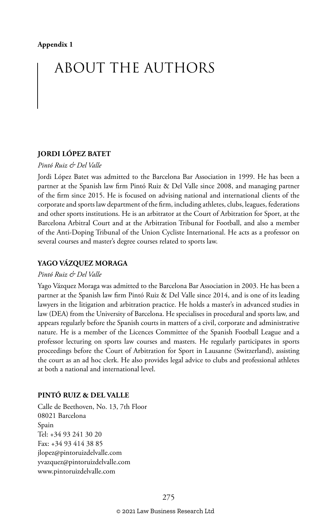# ABOUT THE AUTHORS

#### **JORDI LÓPEZ BATET**

#### *Pintó Ruiz & Del Valle*

Jordi López Batet was admitted to the Barcelona Bar Association in 1999. He has been a partner at the Spanish law firm Pintó Ruiz & Del Valle since 2008, and managing partner of the firm since 2015. He is focused on advising national and international clients of the corporate and sports law department of the firm, including athletes, clubs, leagues, federations and other sports institutions. He is an arbitrator at the Court of Arbitration for Sport, at the Barcelona Arbitral Court and at the Arbitration Tribunal for Football, and also a member of the Anti-Doping Tribunal of the Union Cycliste International. He acts as a professor on several courses and master's degree courses related to sports law.

#### **YAGO VÁZQUEZ MORAGA**

#### *Pintó Ruiz & Del Valle*

Yago Vázquez Moraga was admitted to the Barcelona Bar Association in 2003. He has been a partner at the Spanish law firm Pintó Ruiz & Del Valle since 2014, and is one of its leading lawyers in the litigation and arbitration practice. He holds a master's in advanced studies in law (DEA) from the University of Barcelona. He specialises in procedural and sports law, and appears regularly before the Spanish courts in matters of a civil, corporate and administrative nature. He is a member of the Licences Committee of the Spanish Football League and a professor lecturing on sports law courses and masters. He regularly participates in sports proceedings before the Court of Arbitration for Sport in Lausanne (Switzerland), assisting the court as an ad hoc clerk. He also provides legal advice to clubs and professional athletes at both a national and international level.

#### **PINTÓ RUIZ & DEL VALLE**

Calle de Beethoven, No. 13, 7th Floor 08021 Barcelona Spain Tel: +34 93 241 30 20 Fax: +34 93 414 38 85 jlopez@pintoruizdelvalle.com yvazquez@pintoruizdelvalle.com www.pintoruizdelvalle.com